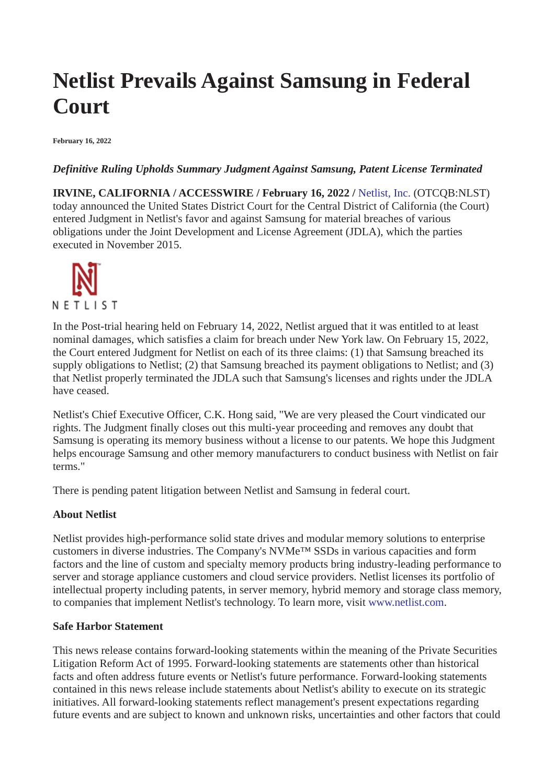# **Netlist Prevails Against Samsung in Federal Court**

**February 16, 2022**

# *Definitive Ruling Upholds Summary Judgment Against Samsung, Patent License Terminated*

**IRVINE, CALIFORNIA / ACCESSWIRE / February 16, 2022 /** [Netlist, Inc.](https://pr.report/hxDBLTMj) (OTCQB:NLST) today announced the United States District Court for the Central District of California (the Court) entered Judgment in Netlist's favor and against Samsung for material breaches of various obligations under the Joint Development and License Agreement (JDLA), which the parties executed in November 2015.



In the Post-trial hearing held on February 14, 2022, Netlist argued that it was entitled to at least nominal damages, which satisfies a claim for breach under New York law. On February 15, 2022, the Court entered Judgment for Netlist on each of its three claims: (1) that Samsung breached its supply obligations to Netlist; (2) that Samsung breached its payment obligations to Netlist; and (3) that Netlist properly terminated the JDLA such that Samsung's licenses and rights under the JDLA have ceased.

Netlist's Chief Executive Officer, C.K. Hong said, "We are very pleased the Court vindicated our rights. The Judgment finally closes out this multi-year proceeding and removes any doubt that Samsung is operating its memory business without a license to our patents. We hope this Judgment helps encourage Samsung and other memory manufacturers to conduct business with Netlist on fair terms."

There is pending patent litigation between Netlist and Samsung in federal court.

### **About Netlist**

Netlist provides high-performance solid state drives and modular memory solutions to enterprise customers in diverse industries. The Company's NVMe™ SSDs in various capacities and form factors and the line of custom and specialty memory products bring industry-leading performance to server and storage appliance customers and cloud service providers. Netlist licenses its portfolio of intellectual property including patents, in server memory, hybrid memory and storage class memory, to companies that implement Netlist's technology. To learn more, visit [www.netlist.com](https://pr.report/QUZkB1a7).

### **Safe Harbor Statement**

This news release contains forward-looking statements within the meaning of the Private Securities Litigation Reform Act of 1995. Forward-looking statements are statements other than historical facts and often address future events or Netlist's future performance. Forward-looking statements contained in this news release include statements about Netlist's ability to execute on its strategic initiatives. All forward-looking statements reflect management's present expectations regarding future events and are subject to known and unknown risks, uncertainties and other factors that could